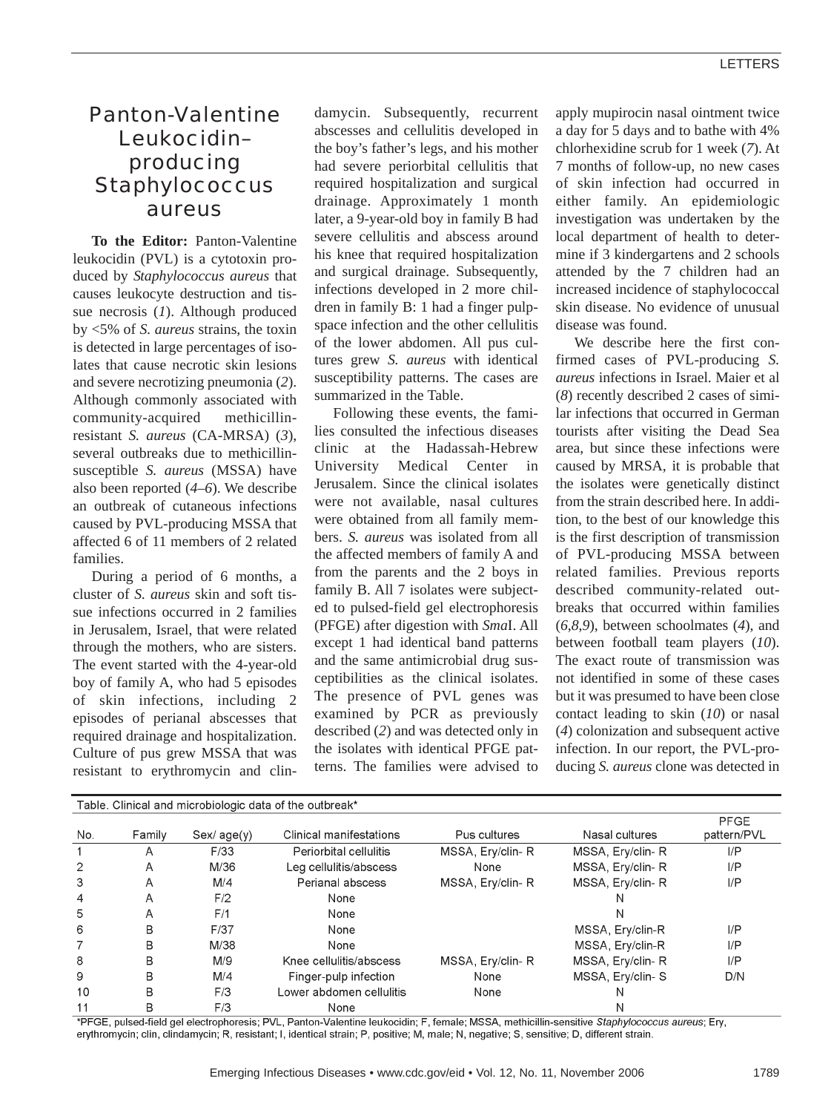## Panton-Valentine Leukocidin– producing *Staphylococcus aureus*

**To the Editor:** Panton-Valentine leukocidin (PVL) is a cytotoxin produced by *Staphylococcus aureus* that causes leukocyte destruction and tissue necrosis (*1*). Although produced by <5% of *S. aureus* strains, the toxin is detected in large percentages of isolates that cause necrotic skin lesions and severe necrotizing pneumonia (*2*). Although commonly associated with community-acquired methicillinresistant *S. aureus* (CA-MRSA) (*3*), several outbreaks due to methicillinsusceptible *S. aureus* (MSSA) have also been reported (*4*–*6*). We describe an outbreak of cutaneous infections caused by PVL-producing MSSA that affected 6 of 11 members of 2 related families.

During a period of 6 months, a cluster of *S. aureus* skin and soft tissue infections occurred in 2 families in Jerusalem, Israel, that were related through the mothers, who are sisters. The event started with the 4-year-old boy of family A, who had 5 episodes of skin infections, including 2 episodes of perianal abscesses that required drainage and hospitalization. Culture of pus grew MSSA that was resistant to erythromycin and clin-

damycin. Subsequently, recurrent abscesses and cellulitis developed in the boy's father's legs, and his mother had severe periorbital cellulitis that required hospitalization and surgical drainage. Approximately 1 month later, a 9-year-old boy in family B had severe cellulitis and abscess around his knee that required hospitalization and surgical drainage. Subsequently, infections developed in 2 more children in family B: 1 had a finger pulpspace infection and the other cellulitis of the lower abdomen. All pus cultures grew *S. aureus* with identical susceptibility patterns. The cases are summarized in the Table.

Following these events, the families consulted the infectious diseases clinic at the Hadassah-Hebrew University Medical Center in Jerusalem. Since the clinical isolates were not available, nasal cultures were obtained from all family members. *S. aureus* was isolated from all the affected members of family A and from the parents and the 2 boys in family B. All 7 isolates were subjected to pulsed-field gel electrophoresis (PFGE) after digestion with *Sma*I. All except 1 had identical band patterns and the same antimicrobial drug susceptibilities as the clinical isolates. The presence of PVL genes was examined by PCR as previously described (*2*) and was detected only in the isolates with identical PFGE patterns. The families were advised to

apply mupirocin nasal ointment twice a day for 5 days and to bathe with 4% chlorhexidine scrub for 1 week (*7*). At 7 months of follow-up, no new cases of skin infection had occurred in either family. An epidemiologic investigation was undertaken by the local department of health to determine if 3 kindergartens and 2 schools attended by the 7 children had an increased incidence of staphylococcal skin disease. No evidence of unusual disease was found.

We describe here the first confirmed cases of PVL-producing *S. aureus* infections in Israel. Maier et al (*8*) recently described 2 cases of similar infections that occurred in German tourists after visiting the Dead Sea area, but since these infections were caused by MRSA, it is probable that the isolates were genetically distinct from the strain described here. In addition, to the best of our knowledge this is the first description of transmission of PVL-producing MSSA between related families. Previous reports described community-related outbreaks that occurred within families (*6*,*8*,*9*), between schoolmates (*4*), and between football team players (*10*). The exact route of transmission was not identified in some of these cases but it was presumed to have been close contact leading to skin (*10*) or nasal (*4*) colonization and subsequent active infection. In our report, the PVL-producing *S. aureus* clone was detected in

| Table. Clinical and microbiologic data of the outbreak" |        |              |                          |                  |                  |                     |
|---------------------------------------------------------|--------|--------------|--------------------------|------------------|------------------|---------------------|
| No.                                                     | Family | Sex / age(y) | Clinical manifestations  | Pus cultures     | Nasal cultures   | PFGE<br>pattern/PVL |
|                                                         | Α      | F/33         | Periorbital cellulitis   | MSSA, Ery/clin-R | MSSA, Ery/clin-R | I/P                 |
| $\overline{2}$                                          | A      | M/36         | Leg cellulitis/abscess   | None             | MSSA, Ery/clin-R | $_{\text{UP}}$      |
| 3                                                       | A      | M/4          | Perianal abscess         | MSSA, Ery/clin-R | MSSA, Ery/clin-R | $_{\text{UP}}$      |
| 4                                                       | A      | F/2          | None                     |                  | N                |                     |
| 5                                                       | A      | F/1          | None                     |                  | N                |                     |
| 6                                                       | B      | F/37         | None                     |                  | MSSA, Ery/clin-R | I/P                 |
|                                                         | B      | M/38         | None                     |                  | MSSA, Ery/clin-R | I/P                 |
| 8                                                       | B      | M/9          | Knee cellulitis/abscess  | MSSA, Ery/clin-R | MSSA, Ery/clin-R | $_{\text{UP}}$      |
| 9                                                       | B      | M/4          | Finger-pulp infection    | None             | MSSA, Ery/clin-S | D/N                 |
| 10                                                      | B      | F/3          | Lower abdomen cellulitis | None             | N                |                     |
| 11                                                      | B      | F/3          | None                     |                  | N                |                     |

\*PFGE, pulsed-field gel electrophoresis; PVL, Panton-Valentine leukocidin; F, female; MSSA, methicillin-sensitive Staphylococcus aureus; Ery, erythromycin; clin, clindamycin; R, resistant; I, identical strain; P, positive; M, male; N, negative; S, sensitive; D, different strain.